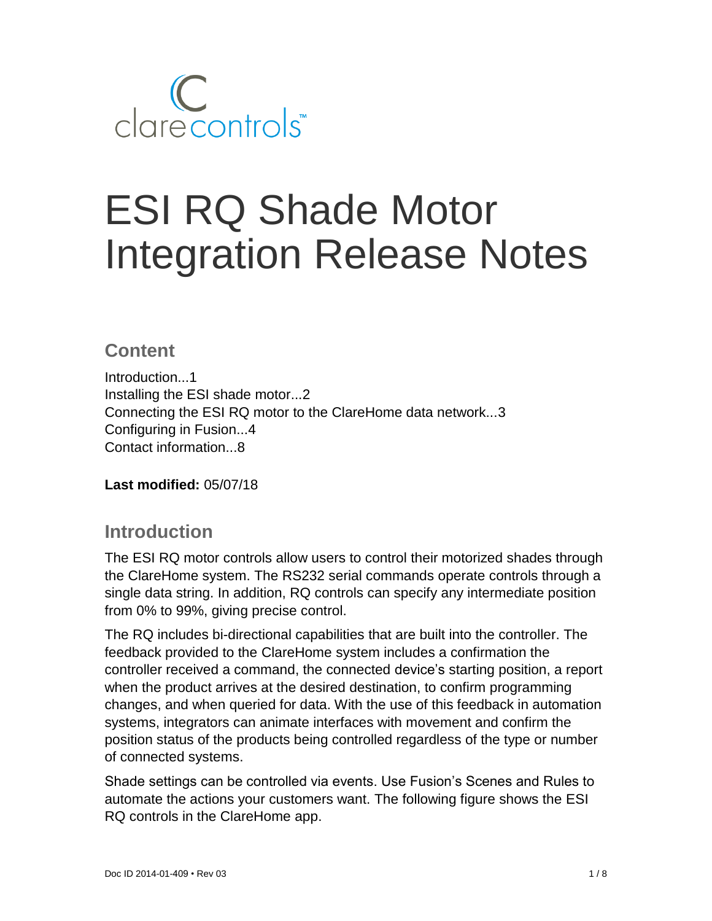

# ESI RQ Shade Motor Integration Release Notes

# **Content**

Introduction...1 Installing the ESI shade motor...2 Connecting the ESI RQ motor to the ClareHome data network...3 Configuring in Fusion...4 Contact information...8

**Last modified:** 05/07/18

## **Introduction**

The ESI RQ motor controls allow users to control their motorized shades through the ClareHome system. The RS232 serial commands operate controls through a single data string. In addition, RQ controls can specify any intermediate position from 0% to 99%, giving precise control.

The RQ includes bi-directional capabilities that are built into the controller. The feedback provided to the ClareHome system includes a confirmation the controller received a command, the connected device's starting position, a report when the product arrives at the desired destination, to confirm programming changes, and when queried for data. With the use of this feedback in automation systems, integrators can animate interfaces with movement and confirm the position status of the products being controlled regardless of the type or number of connected systems.

Shade settings can be controlled via events. Use Fusion's Scenes and Rules to automate the actions your customers want. The following figure shows the ESI RQ controls in the ClareHome app.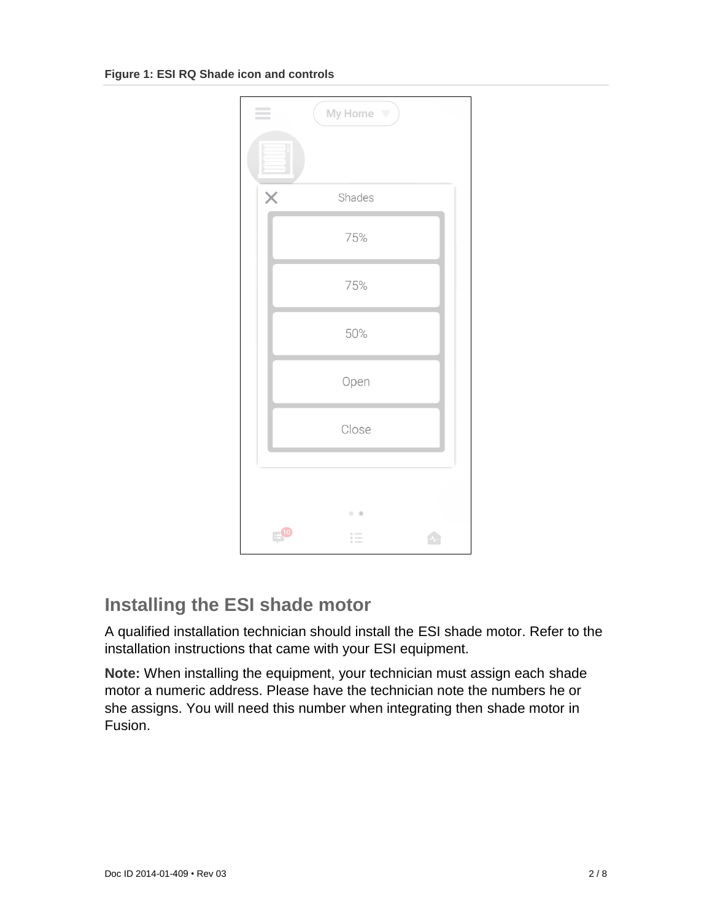**Figure 1: ESI RQ Shade icon and controls**



# **Installing the ESI shade motor**

A qualified installation technician should install the ESI shade motor. Refer to the installation instructions that came with your ESI equipment.

**Note:** When installing the equipment, your technician must assign each shade motor a numeric address. Please have the technician note the numbers he or she assigns. You will need this number when integrating then shade motor in Fusion.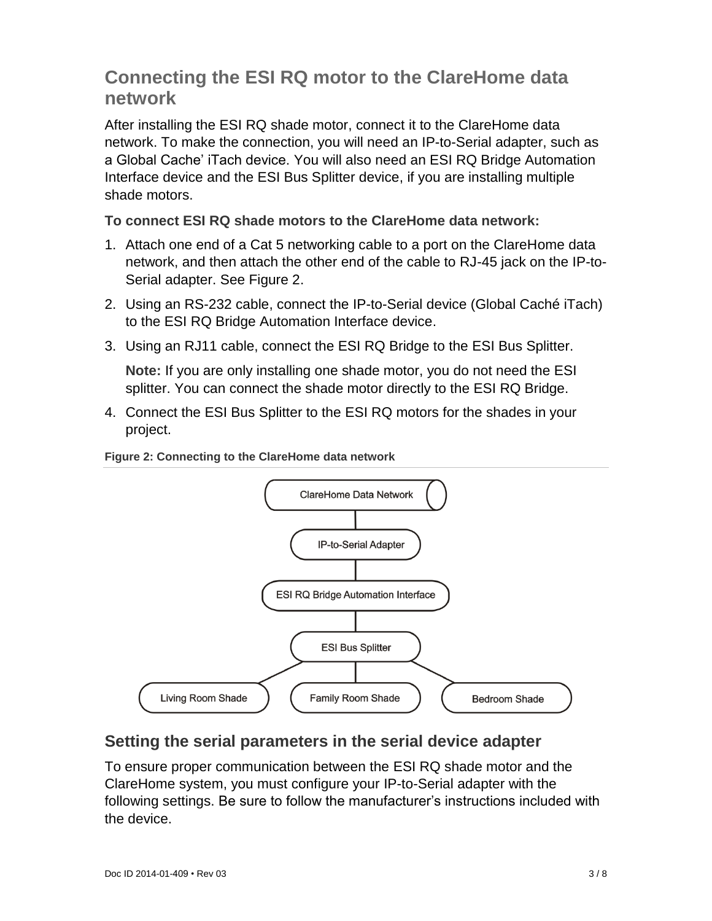# **Connecting the ESI RQ motor to the ClareHome data network**

After installing the ESI RQ shade motor, connect it to the ClareHome data network. To make the connection, you will need an IP-to-Serial adapter, such as a Global Cache' iTach device. You will also need an ESI RQ Bridge Automation Interface device and the ESI Bus Splitter device, if you are installing multiple shade motors.

**To connect ESI RQ shade motors to the ClareHome data network:**

- 1. Attach one end of a Cat 5 networking cable to a port on the ClareHome data network, and then attach the other end of the cable to RJ-45 jack on the IP-to-Serial adapter. See Figure 2.
- 2. Using an RS-232 cable, connect the IP-to-Serial device (Global Caché iTach) to the ESI RQ Bridge Automation Interface device.
- 3. Using an RJ11 cable, connect the ESI RQ Bridge to the ESI Bus Splitter.

**Note:** If you are only installing one shade motor, you do not need the ESI splitter. You can connect the shade motor directly to the ESI RQ Bridge.

4. Connect the ESI Bus Splitter to the ESI RQ motors for the shades in your project.





## **Setting the serial parameters in the serial device adapter**

To ensure proper communication between the ESI RQ shade motor and the ClareHome system, you must configure your IP-to-Serial adapter with the following settings. Be sure to follow the manufacturer's instructions included with the device.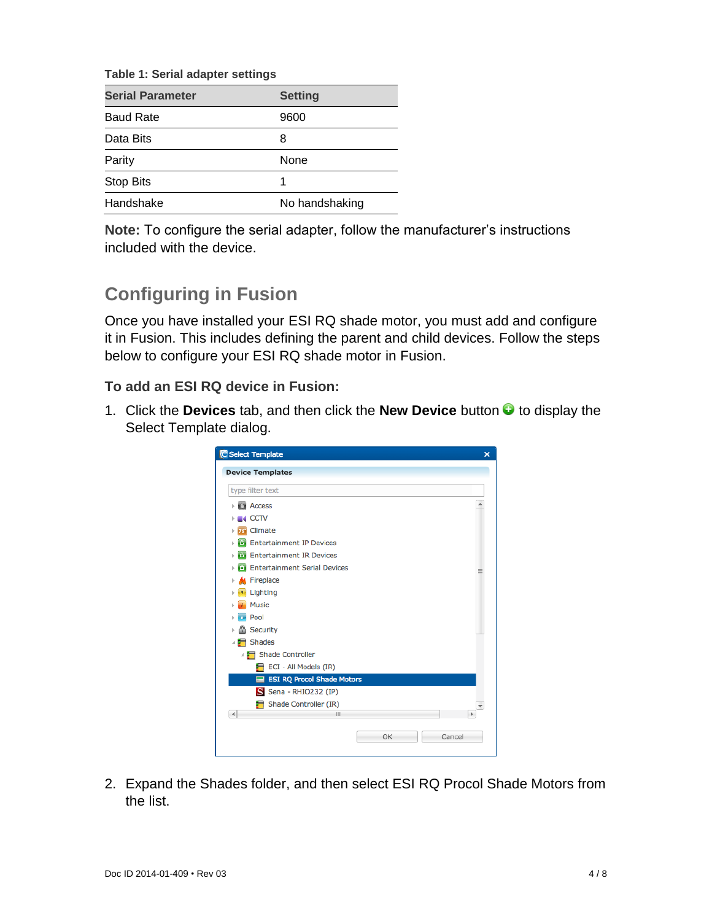**Table 1: Serial adapter settings**

| <b>Serial Parameter</b> | <b>Setting</b> |
|-------------------------|----------------|
| <b>Baud Rate</b>        | 9600           |
| Data Bits               | 8              |
| Parity                  | None           |
| <b>Stop Bits</b>        |                |
| Handshake               | No handshaking |

**Note:** To configure the serial adapter, follow the manufacturer's instructions included with the device.

# **Configuring in Fusion**

Once you have installed your ESI RQ shade motor, you must add and configure it in Fusion. This includes defining the parent and child devices. Follow the steps below to configure your ESI RQ shade motor in Fusion.

**To add an ESI RQ device in Fusion:**

1. Click the **Devices** tab, and then click the **New Device** button to display the Select Template dialog.

| type filter text                           |    |
|--------------------------------------------|----|
| <b>CI</b> Access<br>þ                      |    |
| <b>IN CCTV</b>                             |    |
| Climate<br><b>76<sup>°</sup></b>           |    |
| <b>Entertainment IP Devices</b><br>ū.      |    |
| <b>Entertainment IR Devices</b><br>Ō.<br>b |    |
| <b>Entertainment Serial Devices</b><br>o.  |    |
| <b>K</b> Fireplace<br>þ                    |    |
| Lighting                                   |    |
| <b>Music</b>                               |    |
| Pool                                       |    |
| <b>A</b> Security<br>Þ                     |    |
| Shades                                     |    |
| Shade Controller                           |    |
| ECI - All Models (IR)                      |    |
| <b>ESI RQ Procol Shade Motors</b><br>⊟     |    |
| S Sena - RHIO232 (IP)                      |    |
| Shade Controller (IR)                      |    |
| 4<br>Ш                                     | Þ. |

2. Expand the Shades folder, and then select ESI RQ Procol Shade Motors from the list.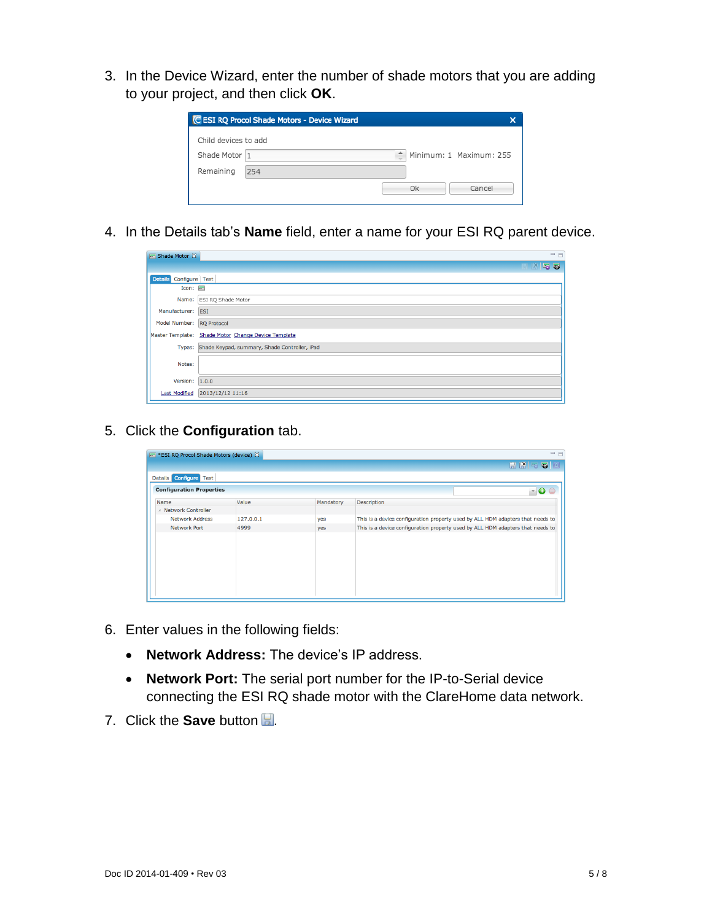3. In the Device Wizard, enter the number of shade motors that you are adding to your project, and then click **OK**.

|                      | C ESI RQ Procol Shade Motors - Device Wizard |   |    |                         |
|----------------------|----------------------------------------------|---|----|-------------------------|
| Child devices to add |                                              |   |    |                         |
| Shade Motor 1        |                                              | Ê |    | Minimum: 1 Maximum: 255 |
| Remaining            | 254                                          |   |    |                         |
|                      |                                              |   | Ok | Cancel                  |

4. In the Details tab's **Name** field, enter a name for your ESI RQ parent device.

| $\equiv$ Shade Motor $\chi$      | $=$ $E$                                              |
|----------------------------------|------------------------------------------------------|
|                                  | <b>HK52</b>                                          |
| Configure Test<br><b>Details</b> |                                                      |
| $Icon: \blacksquare$             |                                                      |
|                                  | Name: ESI RQ Shade Motor                             |
| Manufacturer: ESI                |                                                      |
| Model Number: RQ Protocol        |                                                      |
|                                  | Master Template: Shade Motor Change Device Template  |
|                                  | Types: Shade Keypad, summary, Shade Controller, iPad |
| Notes:                           |                                                      |
| Version: $1.0.0$                 |                                                      |
| <b>Last Modified</b>             | 2013/12/12 11:16                                     |

5. Click the **Configuration** tab.

| F *ESI RQ Procol Shade Motors (device) & |           |           | $=$ $F$                                                                        |
|------------------------------------------|-----------|-----------|--------------------------------------------------------------------------------|
|                                          |           |           | $R$ $R$ $R$ $R$ $R$                                                            |
| Details Configure Test                   |           |           |                                                                                |
| <b>Configuration Properties</b>          |           |           | $-0o$                                                                          |
| Name                                     | Value     | Mandatory | <b>Description</b>                                                             |
| ▲ Network Controller                     |           |           |                                                                                |
| <b>Network Address</b>                   | 127.0.0.1 | yes       | This is a device configuration property used by ALL HDM adapters that needs to |
| <b>Network Port</b>                      | 4999      | yes       | This is a device configuration property used by ALL HDM adapters that needs to |
|                                          |           |           |                                                                                |
|                                          |           |           |                                                                                |
|                                          |           |           |                                                                                |
|                                          |           |           |                                                                                |
|                                          |           |           |                                                                                |
|                                          |           |           |                                                                                |
|                                          |           |           |                                                                                |
|                                          |           |           |                                                                                |

- 6. Enter values in the following fields:
	- **Network Address:** The device's IP address.
	- **Network Port:** The serial port number for the IP-to-Serial device connecting the ESI RQ shade motor with the ClareHome data network.
- 7. Click the **Save** button ...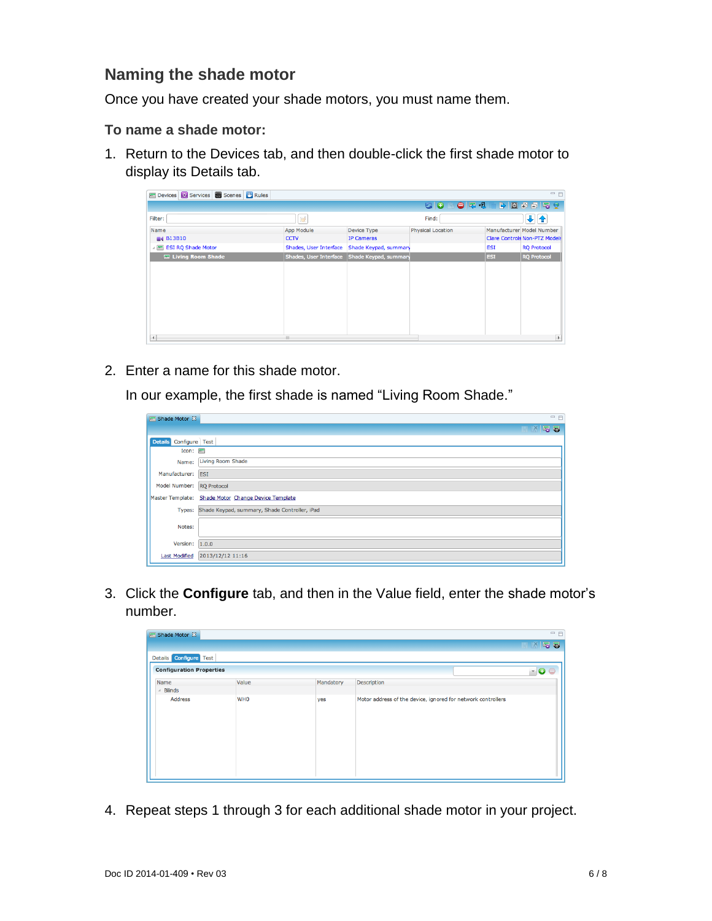#### **Naming the shade motor**

Once you have created your shade motors, you must name them.

#### **To name a shade motor:**

1. Return to the Devices tab, and then double-click the first shade motor to display its Details tab.

| Devices <b>3</b> Services <b>3</b> Scenes <b>4</b> Rules |                        |                                              |                          |            | $=$ $F$                       |
|----------------------------------------------------------|------------------------|----------------------------------------------|--------------------------|------------|-------------------------------|
|                                                          |                        |                                              | ≞ ● च थ<br>60            |            | <b>BBBFF9</b>                 |
| Filter:                                                  | <b>B</b>               |                                              | Find:                    |            | ₩                             |
| Name                                                     | App Module             | Device Type                                  | <b>Physical Location</b> |            | Manufacturer Model Number     |
| <b>B13B10</b>                                            | <b>CCTV</b>            | <b>IP Cameras</b>                            |                          |            | Clare Controls Non-PTZ Models |
| △ 图 ESI RQ Shade Motor                                   | Shades, User Interface | Shade Keypad, summary                        |                          | <b>ESI</b> | <b>RQ Protocol</b>            |
| <b>E. Living Room Shade</b>                              |                        | Shades, User Interface Shade Keypad, summary |                          | <b>ESI</b> | <b>RQ Protocol</b>            |
|                                                          |                        |                                              |                          |            |                               |
|                                                          |                        |                                              |                          |            |                               |
|                                                          |                        |                                              |                          |            |                               |
|                                                          |                        |                                              |                          |            |                               |
|                                                          |                        |                                              |                          |            |                               |
|                                                          |                        |                                              |                          |            |                               |
|                                                          |                        |                                              |                          |            |                               |
|                                                          |                        |                                              |                          |            |                               |
| $\vert$ 4                                                | <b>III</b>             |                                              |                          |            | $\,$                          |

2. Enter a name for this shade motor.

In our example, the first shade is named "Living Room Shade."

| Shade Motor X             | $=$ $E$                                              |
|---------------------------|------------------------------------------------------|
|                           | <b>HK52</b>                                          |
| Details Configure Test    |                                                      |
| $Icon: \blacksquare$      |                                                      |
| Name:                     | <b>Living Room Shade</b>                             |
| Manufacturer: ESI         |                                                      |
| Model Number: RQ Protocol |                                                      |
|                           | Master Template: Shade Motor Change Device Template  |
|                           | Types: Shade Keypad, summary, Shade Controller, iPad |
| Notes:                    |                                                      |
| Version: 1.0.0            |                                                      |
| <b>Last Modified</b>      | 2013/12/12 11:16                                     |

3. Click the **Configure** tab, and then in the Value field, enter the shade motor's number.

| Shade Motor &                           |            |           |                                                              | $=$ $F$     |
|-----------------------------------------|------------|-----------|--------------------------------------------------------------|-------------|
|                                         |            |           |                                                              | <b>HKF5</b> |
| <b>Configure</b> Test<br><b>Details</b> |            |           |                                                              |             |
| <b>Configuration Properties</b>         |            |           |                                                              | - 00        |
| Name                                    | Value      | Mandatory | Description                                                  |             |
| <b>Blinds</b>                           |            |           |                                                              |             |
| <b>Address</b>                          | <b>WHO</b> | yes       | Motor address of the device, ignored for network controllers |             |

4. Repeat steps 1 through 3 for each additional shade motor in your project.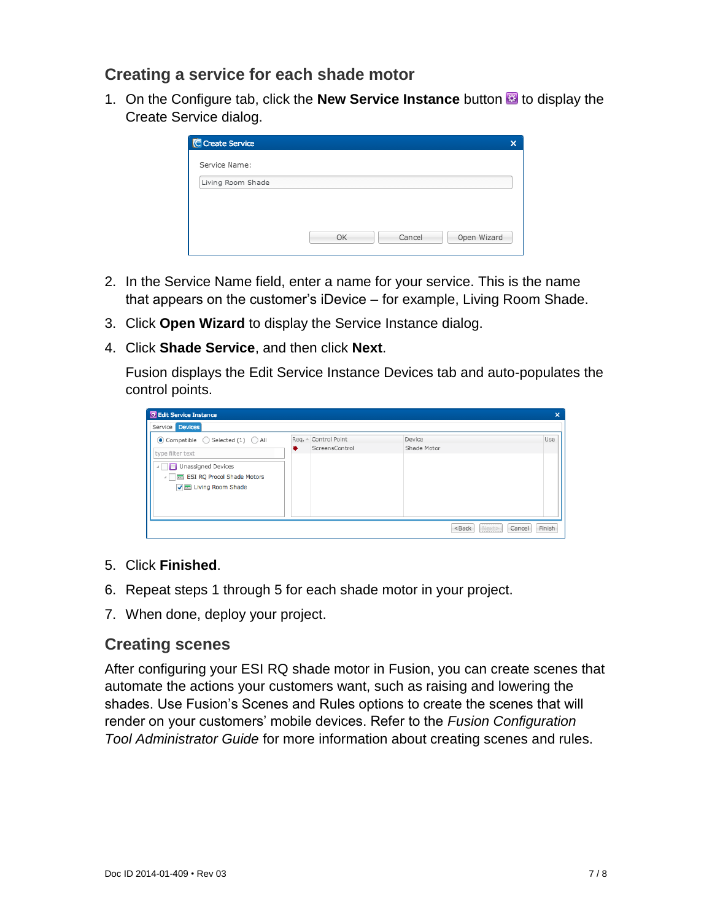#### **Creating a service for each shade motor**

1. On the Configure tab, click the **New Service Instance** button **to** to display the Create Service dialog.

|    |        | $\boldsymbol{\mathsf{x}}$ |
|----|--------|---------------------------|
|    |        |                           |
|    |        |                           |
|    |        |                           |
|    |        |                           |
| OK | Cancel | Open Wizard               |
|    |        |                           |

- 2. In the Service Name field, enter a name for your service. This is the name that appears on the customer's iDevice – for example, Living Room Shade.
- 3. Click **Open Wizard** to display the Service Instance dialog.
- 4. Click **Shade Service**, and then click **Next**.

Fusion displays the Edit Service Instance Devices tab and auto-populates the control points.

| Service <b>Devices</b>                                                                                                              |                                             |                       |     |
|-------------------------------------------------------------------------------------------------------------------------------------|---------------------------------------------|-----------------------|-----|
| $\odot$ Compatible $\bigcirc$ Selected (1) $\bigcirc$ All<br>type filter text<br>Unassigned Devices<br>A ESI RQ Procol Shade Motors | Req. - Control Point<br>ScreensControl<br>兼 | Device<br>Shade Motor | Use |
| √ Living Room Shade                                                                                                                 |                                             |                       |     |

- 5. Click **Finished**.
- 6. Repeat steps 1 through 5 for each shade motor in your project.
- 7. When done, deploy your project.

#### **Creating scenes**

After configuring your ESI RQ shade motor in Fusion, you can create scenes that automate the actions your customers want, such as raising and lowering the shades. Use Fusion's Scenes and Rules options to create the scenes that will render on your customers' mobile devices. Refer to the *Fusion Configuration Tool Administrator Guide* for more information about creating scenes and rules.